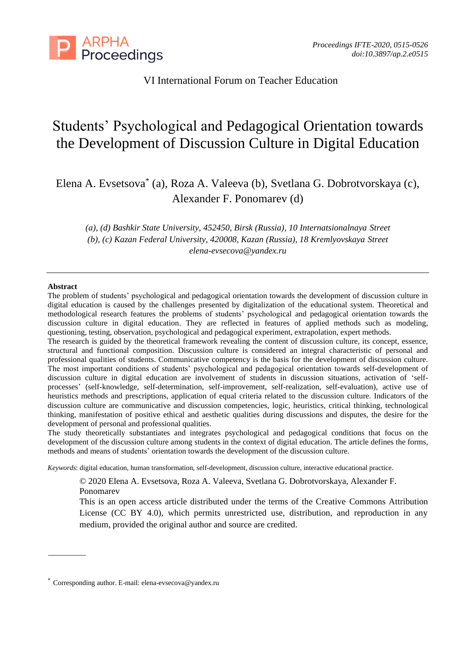

VI International Forum on Teacher Education

# Students' Psychological and Pedagogical Orientation towards the Development of Discussion Culture in Digital Education

Elena A. Evsetsova\* (a), Roza A. Valeeva (b), Svetlana G. Dobrotvorskaya (c), Alexander F. Ponomarev (d)

*(a), (d) Bashkir State University, 452450, Birsk (Russia), 10 Internatsionalnaya Street (b), (c) Kazan Federal University, 420008, Kazan (Russia), 18 Kremlyovskaya Street [elena-evsecova@yandex.ru](mailto:elena-evsecova@yandex.ru)*

#### **Abstract**

The problem of students' psychological and pedagogical orientation towards the development of discussion culture in digital education is caused by the challenges presented by digitalization of the educational system. Theoretical and methodological research features the problems of students' psychological and pedagogical orientation towards the discussion culture in digital education. They are reflected in features of applied methods such as modeling, questioning, testing, observation, psychological and pedagogical experiment, extrapolation, expert methods.

The research is guided by the theoretical framework revealing the content of discussion culture, its concept, essence, structural and functional composition. Discussion culture is considered an integral characteristic of personal and professional qualities of students. Communicative competency is the basis for the development of discussion culture. The most important conditions of students' psychological and pedagogical orientation towards self-development of discussion culture in digital education are involvement of students in discussion situations, activation of 'selfprocesses' (self-knowledge, self-determination, self-improvement, self-realization, self-evaluation), active use of heuristics methods and prescriptions, application of equal criteria related to the discussion culture. Indicators of the discussion culture are communicative and discussion competencies, logic, heuristics, critical thinking, technological thinking, manifestation of positive ethical and aesthetic qualities during discussions and disputes, the desire for the development of personal and professional qualities.

The study theoretically substantiates and integrates psychological and pedagogical conditions that focus on the development of the discussion culture among students in the context of digital education. The article defines the forms, methods and means of students' orientation towards the development of the discussion culture.

*Keywords*: digital education, human transformation, self-development, discussion culture, interactive educational practice.

© 2020 Elena A. Evsetsova, Roza A. Valeeva, Svetlana G. Dobrotvorskaya, Alexander F. Ponomarev

This is an open access article distributed under the terms of the Creative Commons Attribution License (CC BY 4.0), which permits unrestricted use, distribution, and reproduction in any medium, provided the original author and source are credited.

<sup>\*</sup> Corresponding author. E-mail: elena-evsecova@yandex.ru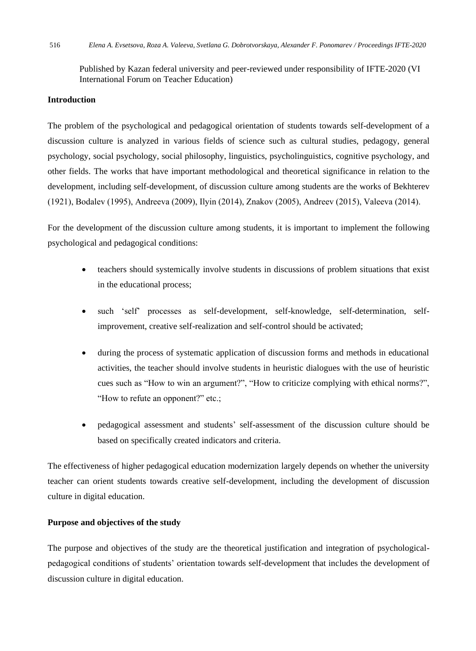Published by Kazan federal university and peer-reviewed under responsibility of IFTE-2020 (VI International Forum on Teacher Education)

# **Introduction**

The problem of the psychological and pedagogical orientation of students towards self-development of a discussion culture is analyzed in various fields of science such as cultural studies, pedagogy, general psychology, social psychology, social philosophy, linguistics, psycholinguistics, cognitive psychology, and other fields. The works that have important methodological and theoretical significance in relation to the development, including self-development, of discussion culture among students are the works of Bekhterev (1921), Bodalev (1995), Andreevа (2009), Ilyin (2014), Znakov (2005), Andreev (2015), Valeeva (2014).

For the development of the discussion culture among students, it is important to implement the following psychological and pedagogical conditions:

- teachers should systemically involve students in discussions of problem situations that exist in the educational process;
- such 'self' processes as self-development, self-knowledge, self-determination, selfimprovement, creative self-realization and self-control should be activated;
- during the process of systematic application of discussion forms and methods in educational activities, the teacher should involve students in heuristic dialogues with the use of heuristic cues such as "How to win an argument?", "How to criticize complying with ethical norms?", "How to refute an opponent?" etc.;
- pedagogical assessment and students' self-assessment of the discussion culture should be based on specifically created indicators and criteria.

The effectiveness of higher pedagogical education modernization largely depends on whether the university teacher can orient students towards creative self-development, including the development of discussion culture in digital education.

## **Purpose and objectives of the study**

The purpose and objectives of the study are the theoretical justification and integration of psychologicalpedagogical conditions of students' orientation towards self-development that includes the development of discussion culture in digital education.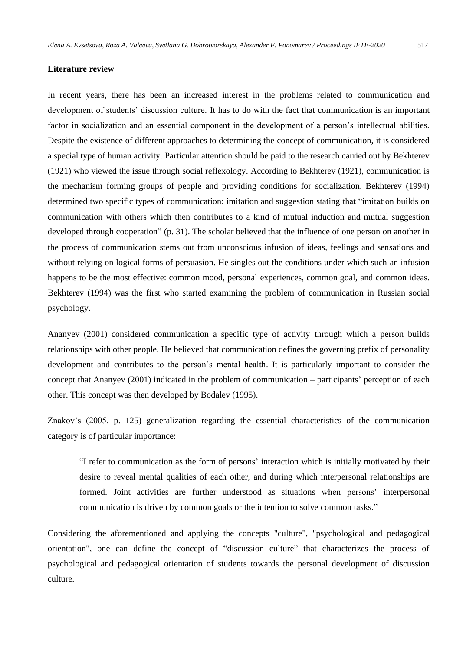#### **Literature review**

In recent years, there has been an increased interest in the problems related to communication and development of students' discussion culture. It has to do with the fact that communication is an important factor in socialization and an essential component in the development of a person's intellectual abilities. Despite the existence of different approaches to determining the concept of communication, it is considered a special type of human activity. Particular attention should be paid to the research carried out by Bekhterev (1921) who viewed the issue through social reflexology. According to Bekhterev (1921), communication is the mechanism forming groups of people and providing conditions for socialization. Bekhterev (1994) determined two specific types of communication: imitation and suggestion stating that "imitation builds on communication with others which then contributes to a kind of mutual induction and mutual suggestion developed through cooperation" (p. 31). The scholar believed that the influence of one person on another in the process of communication stems out from unconscious infusion of ideas, feelings and sensations and without relying on logical forms of persuasion. He singles out the conditions under which such an infusion happens to be the most effective: common mood, personal experiences, common goal, and common ideas. Bekhterev (1994) was the first who started examining the problem of communication in Russian social psychology.

Ananyev (2001) considered communication a specific type of activity through which a person builds relationships with other people. He believed that communication defines the governing prefix of personality development and contributes to the person's mental health. It is particularly important to consider the concept that Ananyev (2001) indicated in the problem of communication – participants' perception of each other. This concept was then developed by Bodalev (1995).

Znakov's (2005, p. 125) generalization regarding the essential characteristics of the communication category is of particular importance:

"I refer to communication as the form of persons' interaction which is initially motivated by their desire to reveal mental qualities of each other, and during which interpersonal relationships are formed. Joint activities are further understood as situations when persons' interpersonal communication is driven by common goals or the intention to solve common tasks."

Considering the aforementioned and applying the concepts "culture", "psychological and pedagogical orientation", one can define the concept of "discussion culture" that characterizes the process of psychological and pedagogical orientation of students towards the personal development of discussion culture.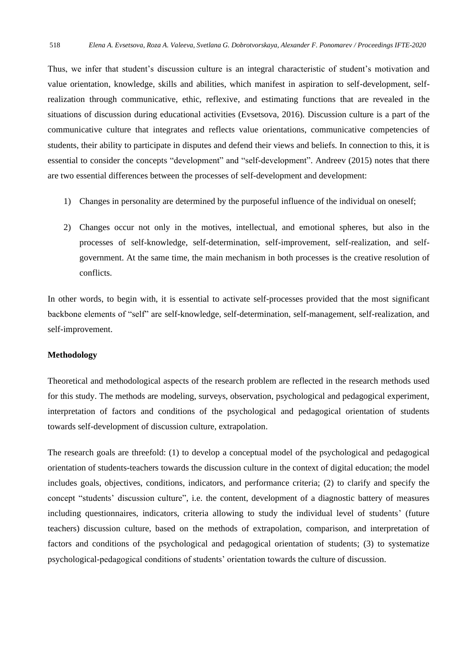Thus, we infer that student's discussion culture is an integral characteristic of student's motivation and value orientation, knowledge, skills and abilities, which manifest in aspiration to self-development, selfrealization through communicative, ethic, reflexive, and estimating functions that are revealed in the situations of discussion during educational activities (Evsetsova, 2016). Discussion culture is a part of the communicative culture that integrates and reflects value orientations, communicative competencies of students, their ability to participate in disputes and defend their views and beliefs. In connection to this, it is essential to consider the concepts "development" and "self-development". Andreev (2015) notes that there are two essential differences between the processes of self-development and development:

- 1) Changes in personality are determined by the purposeful influence of the individual on oneself;
- 2) Changes occur not only in the motives, intellectual, and emotional spheres, but also in the processes of self-knowledge, self-determination, self-improvement, self-realization, and selfgovernment. At the same time, the main mechanism in both processes is the creative resolution of conflicts.

In other words, to begin with, it is essential to activate self-processes provided that the most significant backbone elements of "self" are self-knowledge, self-determination, self-management, self-realization, and self-improvement.

## **Methodology**

Theoretical and methodological aspects of the research problem are reflected in the research methods used for this study. The methods are modeling, surveys, observation, psychological and pedagogical experiment, interpretation of factors and conditions of the psychological and pedagogical orientation of students towards self-development of discussion culture, extrapolation.

The research goals are threefold: (1) to develop a conceptual model of the psychological and pedagogical orientation of students-teachers towards the discussion culture in the context of digital education; the model includes goals, objectives, conditions, indicators, and performance criteria; (2) to clarify and specify the concept "students' discussion culture", i.e. the content, development of a diagnostic battery of measures including questionnaires, indicators, criteria allowing to study the individual level of students' (future teachers) discussion culture, based on the methods of extrapolation, comparison, and interpretation of factors and conditions of the psychological and pedagogical orientation of students; (3) to systematize psychological-pedagogical conditions of students' orientation towards the culture of discussion.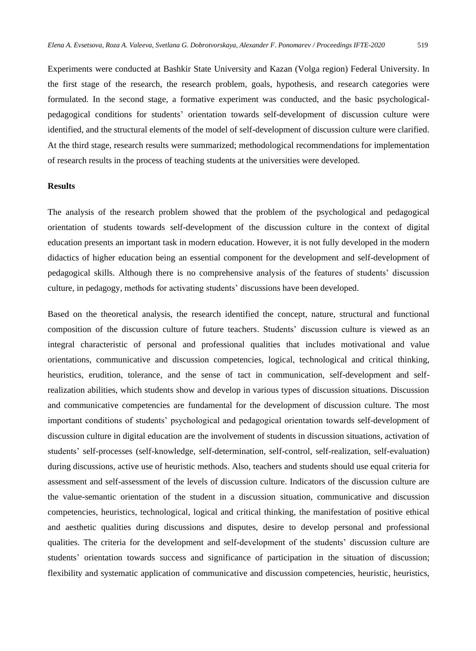Experiments were conducted at Bashkir State University and Kazan (Volga region) Federal University. In the first stage of the research, the research problem, goals, hypothesis, and research categories were formulated. In the second stage, a formative experiment was conducted, and the basic psychologicalpedagogical conditions for students' orientation towards self-development of discussion culture were identified, and the structural elements of the model of self-development of discussion culture were clarified. At the third stage, research results were summarized; methodological recommendations for implementation of research results in the process of teaching students at the universities were developed.

#### **Results**

The analysis of the research problem showed that the problem of the psychological and pedagogical orientation of students towards self-development of the discussion culture in the context of digital education presents an important task in modern education. However, it is not fully developed in the modern didactics of higher education being an essential component for the development and self-development of pedagogical skills. Although there is no comprehensive analysis of the features of students' discussion culture, in pedagogy, methods for activating students' discussions have been developed.

Based on the theoretical analysis, the research identified the concept, nature, structural and functional composition of the discussion culture of future teachers. Students' discussion culture is viewed as an integral characteristic of personal and professional qualities that includes motivational and value orientations, communicative and discussion competencies, logical, technological and critical thinking, heuristics, erudition, tolerance, and the sense of tact in communication, self-development and selfrealization abilities, which students show and develop in various types of discussion situations. Discussion and communicative competencies are fundamental for the development of discussion culture. The most important conditions of students' psychological and pedagogical orientation towards self-development of discussion culture in digital education are the involvement of students in discussion situations, activation of students' self-processes (self-knowledge, self-determination, self-control, self-realization, self-evaluation) during discussions, active use of heuristic methods. Also, teachers and students should use equal criteria for assessment and self-assessment of the levels of discussion culture. Indicators of the discussion culture are the value-semantic orientation of the student in a discussion situation, communicative and discussion competencies, heuristics, technological, logical and critical thinking, the manifestation of positive ethical and aesthetic qualities during discussions and disputes, desire to develop personal and professional qualities. The criteria for the development and self-development of the students' discussion culture are students' orientation towards success and significance of participation in the situation of discussion; flexibility and systematic application of communicative and discussion competencies, heuristic, heuristics,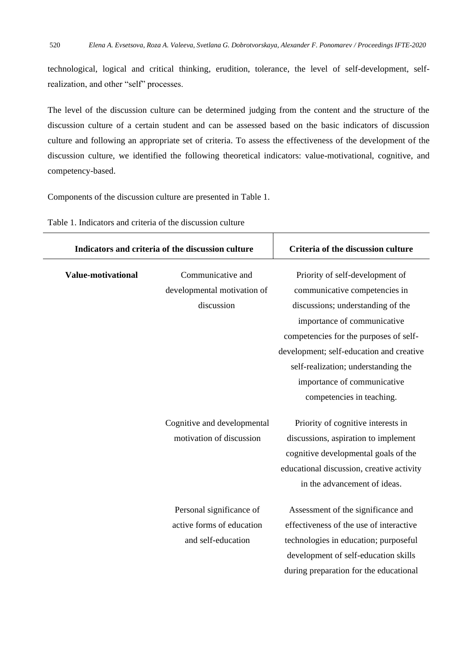technological, logical and critical thinking, erudition, tolerance, the level of self-development, selfrealization, and other "self" processes.

The level of the discussion culture can be determined judging from the content and the structure of the discussion culture of a certain student and can be assessed based on the basic indicators of discussion culture and following an appropriate set of criteria. To assess the effectiveness of the development of the discussion culture, we identified the following theoretical indicators: value-motivational, cognitive, and competency-based.

Components of the discussion culture are presented in Table 1.

| Indicators and criteria of the discussion culture |                                                                             | Criteria of the discussion culture                                                                                                                                                                                                                                                                                            |
|---------------------------------------------------|-----------------------------------------------------------------------------|-------------------------------------------------------------------------------------------------------------------------------------------------------------------------------------------------------------------------------------------------------------------------------------------------------------------------------|
| <b>Value-motivational</b>                         | Communicative and<br>developmental motivation of<br>discussion              | Priority of self-development of<br>communicative competencies in<br>discussions; understanding of the<br>importance of communicative<br>competencies for the purposes of self-<br>development; self-education and creative<br>self-realization; understanding the<br>importance of communicative<br>competencies in teaching. |
|                                                   | Cognitive and developmental<br>motivation of discussion                     | Priority of cognitive interests in<br>discussions, aspiration to implement<br>cognitive developmental goals of the<br>educational discussion, creative activity<br>in the advancement of ideas.                                                                                                                               |
|                                                   | Personal significance of<br>active forms of education<br>and self-education | Assessment of the significance and<br>effectiveness of the use of interactive<br>technologies in education; purposeful<br>development of self-education skills<br>during preparation for the educational                                                                                                                      |

Table 1. Indicators and criteria of the discussion culture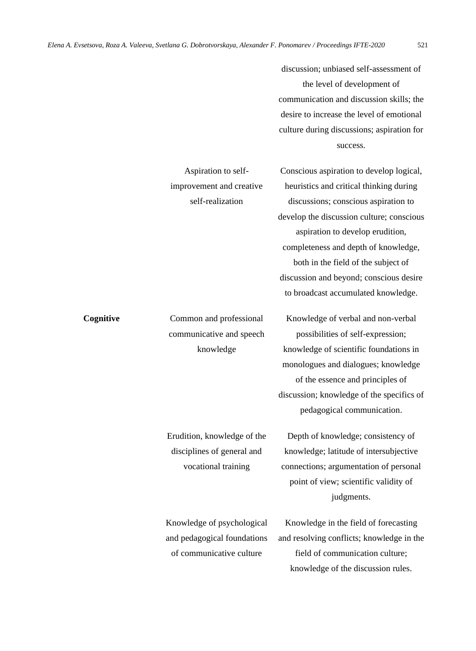Aspiration to selfimprovement and creative

discussion; unbiased self-assessment of the level of development of communication and discussion skills; the desire to increase the level of emotional culture during discussions; aspiration for success.

Conscious aspiration to develop logical, heuristics and critical thinking during discussions; conscious aspiration to develop the discussion culture; conscious aspiration to develop erudition, completeness and depth of knowledge, both in the field of the subject of discussion and beyond; conscious desire to broadcast accumulated knowledge.

Knowledge of verbal and non-verbal possibilities of self-expression; knowledge of scientific foundations in monologues and dialogues; knowledge of the essence and principles of discussion; knowledge of the specifics of pedagogical communication.

Depth of knowledge; consistency of knowledge; latitude of intersubjective connections; argumentation of personal point of view; scientific validity of judgments.

Knowledge in the field of forecasting and resolving conflicts; knowledge in the field of communication culture; knowledge of the discussion rules.

self-realization **Cognitive** Common and professional communicative and speech knowledge Erudition, knowledge of the disciplines of general and vocational training Knowledge of psychological and pedagogical foundations of communicative culture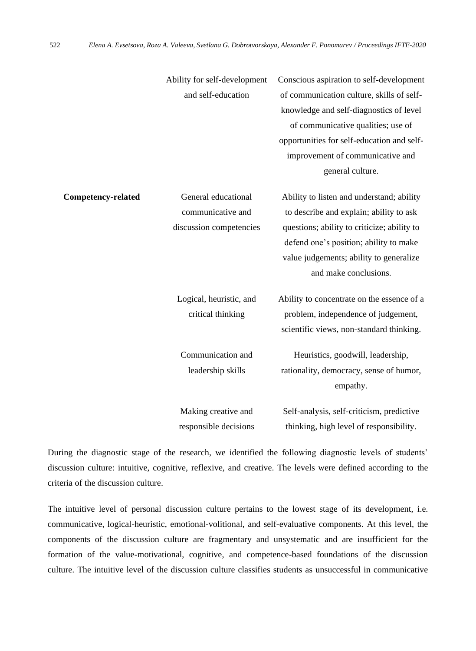|                           | Ability for self-development<br>and self-education                  | Conscious aspiration to self-development<br>of communication culture, skills of self-<br>knowledge and self-diagnostics of level<br>of communicative qualities; use of<br>opportunities for self-education and self-<br>improvement of communicative and              |
|---------------------------|---------------------------------------------------------------------|-----------------------------------------------------------------------------------------------------------------------------------------------------------------------------------------------------------------------------------------------------------------------|
| <b>Competency-related</b> | General educational<br>communicative and<br>discussion competencies | general culture.<br>Ability to listen and understand; ability<br>to describe and explain; ability to ask<br>questions; ability to criticize; ability to<br>defend one's position; ability to make<br>value judgements; ability to generalize<br>and make conclusions. |
|                           | Logical, heuristic, and<br>critical thinking                        | Ability to concentrate on the essence of a<br>problem, independence of judgement,<br>scientific views, non-standard thinking.                                                                                                                                         |
|                           | Communication and<br>leadership skills                              | Heuristics, goodwill, leadership,<br>rationality, democracy, sense of humor,<br>empathy.                                                                                                                                                                              |
|                           | Making creative and<br>responsible decisions                        | Self-analysis, self-criticism, predictive<br>thinking, high level of responsibility.                                                                                                                                                                                  |

During the diagnostic stage of the research, we identified the following diagnostic levels of students' discussion culture: intuitive, cognitive, reflexive, and creative. The levels were defined according to the criteria of the discussion culture.

The intuitive level of personal discussion culture pertains to the lowest stage of its development, i.e. communicative, logical-heuristic, emotional-volitional, and self-evaluative components. At this level, the components of the discussion culture are fragmentary and unsystematic and are insufficient for the formation of the value-motivational, cognitive, and competence-based foundations of the discussion culture. The intuitive level of the discussion culture classifies students as unsuccessful in communicative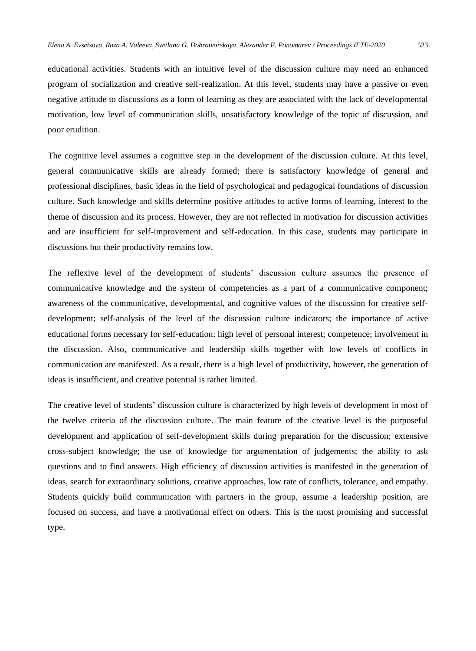educational activities. Students with an intuitive level of the discussion culture may need an enhanced program of socialization and creative self-realization. At this level, students may have a passive or even negative attitude to discussions as a form of learning as they are associated with the lack of developmental motivation, low level of communication skills, unsatisfactory knowledge of the topic of discussion, and poor erudition.

The cognitive level assumes a cognitive step in the development of the discussion culture. At this level, general communicative skills are already formed; there is satisfactory knowledge of general and professional disciplines, basic ideas in the field of psychological and pedagogical foundations of discussion culture. Such knowledge and skills determine positive attitudes to active forms of learning, interest to the theme of discussion and its process. However, they are not reflected in motivation for discussion activities and are insufficient for self-improvement and self-education. In this case, students may participate in discussions but their productivity remains low.

The reflexive level of the development of students' discussion culture assumes the presence of communicative knowledge and the system of competencies as a part of a communicative component; awareness of the communicative, developmental, and cognitive values of the discussion for creative selfdevelopment; self-analysis of the level of the discussion culture indicators; the importance of active educational forms necessary for self-education; high level of personal interest; competence; involvement in the discussion. Also, communicative and leadership skills together with low levels of conflicts in communication are manifested. As a result, there is a high level of productivity, however, the generation of ideas is insufficient, and creative potential is rather limited.

The creative level of students' discussion culture is characterized by high levels of development in most of the twelve criteria of the discussion culture. The main feature of the creative level is the purposeful development and application of self-development skills during preparation for the discussion; extensive cross-subject knowledge; the use of knowledge for argumentation of judgements; the ability to ask questions and to find answers. High efficiency of discussion activities is manifested in the generation of ideas, search for extraordinary solutions, creative approaches, low rate of conflicts, tolerance, and empathy. Students quickly build communication with partners in the group, assume a leadership position, are focused on success, and have a motivational effect on others. This is the most promising and successful type.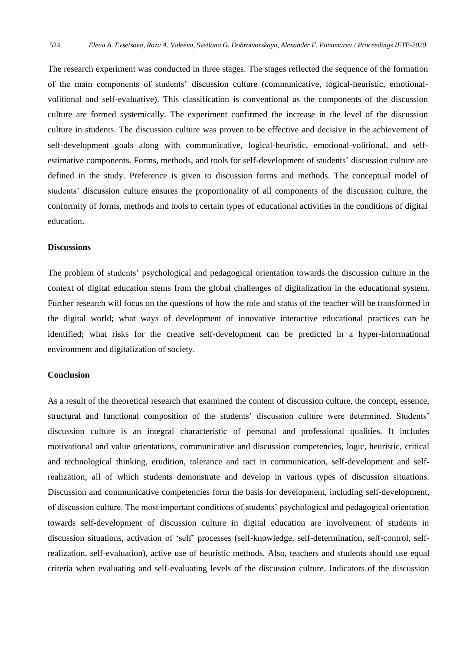The research experiment was conducted in three stages. The stages reflected the sequence of the formation of the main components of students' discussion culture (communicative, logical-heuristic, emotionalvolitional and self-evaluative). This classification is conventional as the components of the discussion culture are formed systemically. The experiment confirmed the increase in the level of the discussion culture in students. The discussion culture was proven to be effective and decisive in the achievement of self-development goals along with communicative, logical-heuristic, emotional-volitional, and selfestimative components. Forms, methods, and tools for self-development of students' discussion culture are defined in the study. Preference is given to discussion forms and methods. The conceptual model of students' discussion culture ensures the proportionality of all components of the discussion culture, the conformity of forms, methods and tools to certain types of educational activities in the conditions of digital education.

### **Discussions**

The problem of students' psychological and pedagogical orientation towards the discussion culture in the context of digital education stems from the global challenges of digitalization in the educational system. Further research will focus on the questions of how the role and status of the teacher will be transformed in the digital world; what ways of development of innovative interactive educational practices can be identified; what risks for the creative self-development can be predicted in a hyper-informational environment and digitalization of society.

#### **Conclusion**

As a result of the theoretical research that examined the content of discussion culture, the concept, essence, structural and functional composition of the students' discussion culture were determined. Students' discussion culture is an integral characteristic of personal and professional qualities. It includes motivational and value orientations, communicative and discussion competencies, logic, heuristic, critical and technological thinking, erudition, tolerance and tact in communication, self-development and selfrealization, all of which students demonstrate and develop in various types of discussion situations. Discussion and communicative competencies form the basis for development, including self-development, of discussion culture. The most important conditions of students' psychological and pedagogical orientation towards self-development of discussion culture in digital education are involvement of students in discussion situations, activation of 'self' processes (self-knowledge, self-determination, self-control, selfrealization, self-evaluation), active use of heuristic methods. Also, teachers and students should use equal criteria when evaluating and self-evaluating levels of the discussion culture. Indicators of the discussion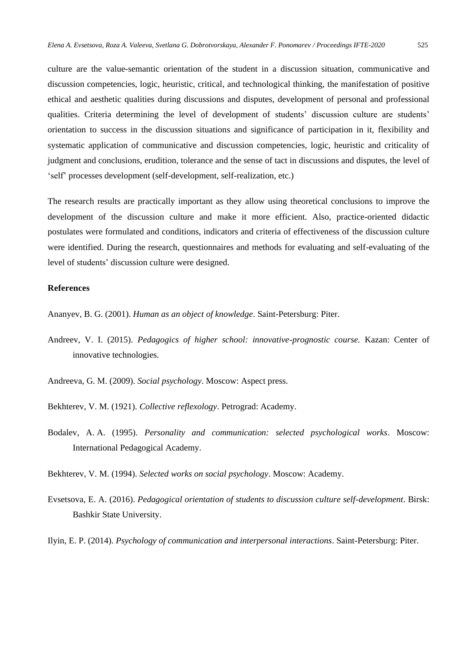culture are the value-semantic orientation of the student in a discussion situation, communicative and discussion competencies, logic, heuristic, critical, and technological thinking, the manifestation of positive ethical and aesthetic qualities during discussions and disputes, development of personal and professional qualities. Criteria determining the level of development of students' discussion culture are students' orientation to success in the discussion situations and significance of participation in it, flexibility and systematic application of communicative and discussion competencies, logic, heuristic and criticality of judgment and conclusions, erudition, tolerance and the sense of tact in discussions and disputes, the level of 'self' processes development (self-development, self-realization, etc.)

The research results are practically important as they allow using theoretical conclusions to improve the development of the discussion culture and make it more efficient. Also, practice-oriented didactic postulates were formulated and conditions, indicators and criteria of effectiveness of the discussion culture were identified. During the research, questionnaires and methods for evaluating and self-evaluating of the level of students' discussion culture were designed.

## **References**

Ananyev, B. G. (2001). *Human as an object of knowledge*. Saint-Petersburg: Piter.

Andreev, V. I. (2015). *Pedagogics of higher school: innovative-prognostic course.* Kazan: Center of innovative technologies.

Andreevа, G. М. (2009). *Social psychology*. Moscow: Aspect press.

Bekhterev, V. M. (1921). *Collective reflexology*. Petrograd: Academy.

Bodalev, A. A. (1995). *Personality and communication: selected psychological works*. Moscow: International Pedagogical Academy.

Bekhterev, V. M. (1994). *Selected works on social psychology*. Moscow: Academy.

Evsetsova, E. A. (2016). *Pedagogical orientation of students to discussion culture self-development*. Birsk: Bashkir State University.

Ilyin, E. P. (2014). *Psychology of communication and interpersonal interactions*. Saint-Petersburg: Piter.